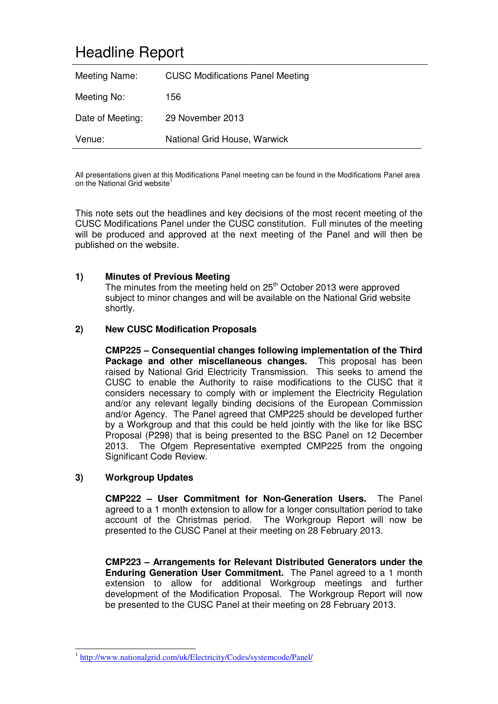# Headline Report

| Meeting Name:    | <b>CUSC Modifications Panel Meeting</b> |
|------------------|-----------------------------------------|
| Meeting No:      | 156.                                    |
| Date of Meeting: | 29 November 2013                        |
| Venue:           | National Grid House, Warwick            |

All presentations given at this Modifications Panel meeting can be found in the Modifications Panel area on the National Grid website<sup>1</sup>

This note sets out the headlines and key decisions of the most recent meeting of the CUSC Modifications Panel under the CUSC constitution. Full minutes of the meeting will be produced and approved at the next meeting of the Panel and will then be published on the website.

# **1) Minutes of Previous Meeting**

The minutes from the meeting held on  $25<sup>th</sup>$  October 2013 were approved subject to minor changes and will be available on the National Grid website shortly.

### **2) New CUSC Modification Proposals**

**CMP225 – Consequential changes following implementation of the Third Package and other miscellaneous changes.** This proposal has been raised by National Grid Electricity Transmission. This seeks to amend the CUSC to enable the Authority to raise modifications to the CUSC that it considers necessary to comply with or implement the Electricity Regulation and/or any relevant legally binding decisions of the European Commission and/or Agency. The Panel agreed that CMP225 should be developed further by a Workgroup and that this could be held jointly with the like for like BSC Proposal (P298) that is being presented to the BSC Panel on 12 December 2013. The Ofgem Representative exempted CMP225 from the ongoing Significant Code Review.

### **3) Workgroup Updates**

**CMP222 – User Commitment for Non-Generation Users.** The Panel agreed to a 1 month extension to allow for a longer consultation period to take account of the Christmas period. The Workgroup Report will now be presented to the CUSC Panel at their meeting on 28 February 2013.

**CMP223 – Arrangements for Relevant Distributed Generators under the Enduring Generation User Commitment.** The Panel agreed to a 1 month extension to allow for additional Workgroup meetings and further development of the Modification Proposal. The Workgroup Report will now be presented to the CUSC Panel at their meeting on 28 February 2013.

<sup>-</sup><sup>1</sup> http://www.nationalgrid.com/uk/Electricity/Codes/systemcode/Panel/